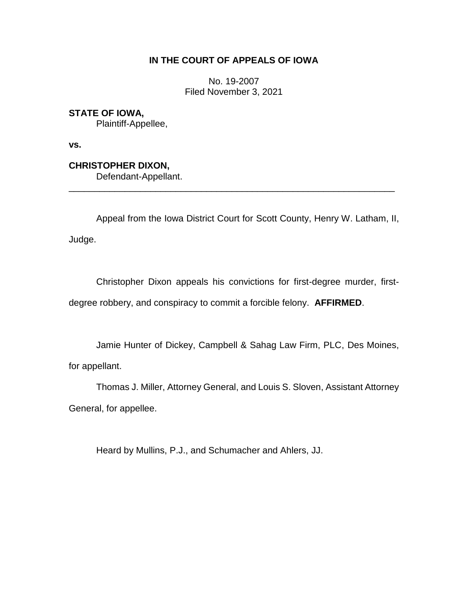# **IN THE COURT OF APPEALS OF IOWA**

No. 19-2007 Filed November 3, 2021

**STATE OF IOWA,**

Plaintiff-Appellee,

**vs.**

**CHRISTOPHER DIXON,** Defendant-Appellant. \_\_\_\_\_\_\_\_\_\_\_\_\_\_\_\_\_\_\_\_\_\_\_\_\_\_\_\_\_\_\_\_\_\_\_\_\_\_\_\_\_\_\_\_\_\_\_\_\_\_\_\_\_\_\_\_\_\_\_\_\_\_\_\_

Appeal from the Iowa District Court for Scott County, Henry W. Latham, II, Judge.

Christopher Dixon appeals his convictions for first-degree murder, firstdegree robbery, and conspiracy to commit a forcible felony. **AFFIRMED**.

Jamie Hunter of Dickey, Campbell & Sahag Law Firm, PLC, Des Moines, for appellant.

Thomas J. Miller, Attorney General, and Louis S. Sloven, Assistant Attorney General, for appellee.

Heard by Mullins, P.J., and Schumacher and Ahlers, JJ.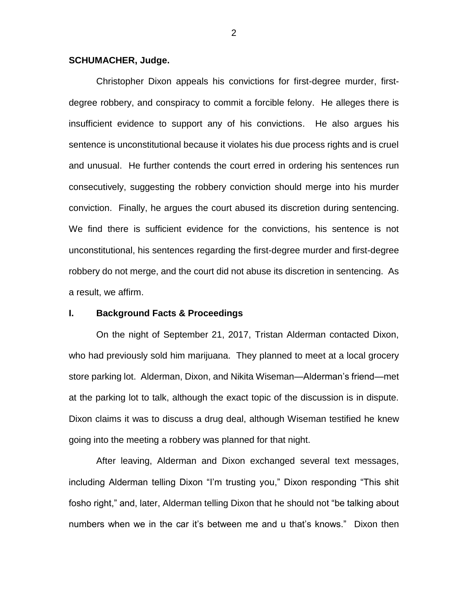### **SCHUMACHER, Judge.**

Christopher Dixon appeals his convictions for first-degree murder, firstdegree robbery, and conspiracy to commit a forcible felony. He alleges there is insufficient evidence to support any of his convictions. He also argues his sentence is unconstitutional because it violates his due process rights and is cruel and unusual. He further contends the court erred in ordering his sentences run consecutively, suggesting the robbery conviction should merge into his murder conviction. Finally, he argues the court abused its discretion during sentencing. We find there is sufficient evidence for the convictions, his sentence is not unconstitutional, his sentences regarding the first-degree murder and first-degree robbery do not merge, and the court did not abuse its discretion in sentencing. As a result, we affirm.

# **I. Background Facts & Proceedings**

On the night of September 21, 2017, Tristan Alderman contacted Dixon, who had previously sold him marijuana. They planned to meet at a local grocery store parking lot. Alderman, Dixon, and Nikita Wiseman—Alderman's friend—met at the parking lot to talk, although the exact topic of the discussion is in dispute. Dixon claims it was to discuss a drug deal, although Wiseman testified he knew going into the meeting a robbery was planned for that night.

After leaving, Alderman and Dixon exchanged several text messages, including Alderman telling Dixon "I'm trusting you," Dixon responding "This shit fosho right," and, later, Alderman telling Dixon that he should not "be talking about numbers when we in the car it's between me and u that's knows." Dixon then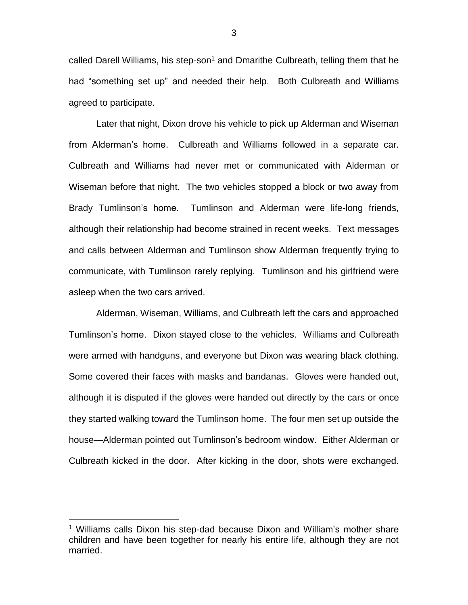called Darell Williams, his step-son<sup>1</sup> and Dmarithe Culbreath, telling them that he had "something set up" and needed their help. Both Culbreath and Williams agreed to participate.

Later that night, Dixon drove his vehicle to pick up Alderman and Wiseman from Alderman's home. Culbreath and Williams followed in a separate car. Culbreath and Williams had never met or communicated with Alderman or Wiseman before that night. The two vehicles stopped a block or two away from Brady Tumlinson's home. Tumlinson and Alderman were life-long friends, although their relationship had become strained in recent weeks. Text messages and calls between Alderman and Tumlinson show Alderman frequently trying to communicate, with Tumlinson rarely replying. Tumlinson and his girlfriend were asleep when the two cars arrived.

Alderman, Wiseman, Williams, and Culbreath left the cars and approached Tumlinson's home. Dixon stayed close to the vehicles. Williams and Culbreath were armed with handguns, and everyone but Dixon was wearing black clothing. Some covered their faces with masks and bandanas. Gloves were handed out, although it is disputed if the gloves were handed out directly by the cars or once they started walking toward the Tumlinson home. The four men set up outside the house—Alderman pointed out Tumlinson's bedroom window. Either Alderman or Culbreath kicked in the door. After kicking in the door, shots were exchanged.

 $\overline{a}$ 

<sup>&</sup>lt;sup>1</sup> Williams calls Dixon his step-dad because Dixon and William's mother share children and have been together for nearly his entire life, although they are not married.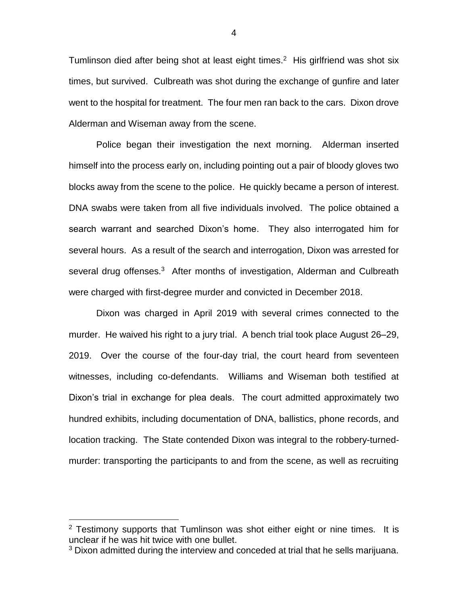Tumlinson died after being shot at least eight times.<sup>2</sup> His girlfriend was shot six times, but survived. Culbreath was shot during the exchange of gunfire and later went to the hospital for treatment. The four men ran back to the cars. Dixon drove Alderman and Wiseman away from the scene.

Police began their investigation the next morning. Alderman inserted himself into the process early on, including pointing out a pair of bloody gloves two blocks away from the scene to the police. He quickly became a person of interest. DNA swabs were taken from all five individuals involved. The police obtained a search warrant and searched Dixon's home. They also interrogated him for several hours. As a result of the search and interrogation, Dixon was arrested for several drug offenses.<sup>3</sup> After months of investigation, Alderman and Culbreath were charged with first-degree murder and convicted in December 2018.

Dixon was charged in April 2019 with several crimes connected to the murder. He waived his right to a jury trial. A bench trial took place August 26–29, 2019. Over the course of the four-day trial, the court heard from seventeen witnesses, including co-defendants. Williams and Wiseman both testified at Dixon's trial in exchange for plea deals. The court admitted approximately two hundred exhibits, including documentation of DNA, ballistics, phone records, and location tracking. The State contended Dixon was integral to the robbery-turnedmurder: transporting the participants to and from the scene, as well as recruiting

 $2$  Testimony supports that Tumlinson was shot either eight or nine times. It is unclear if he was hit twice with one bullet.

<sup>&</sup>lt;sup>3</sup> Dixon admitted during the interview and conceded at trial that he sells marijuana.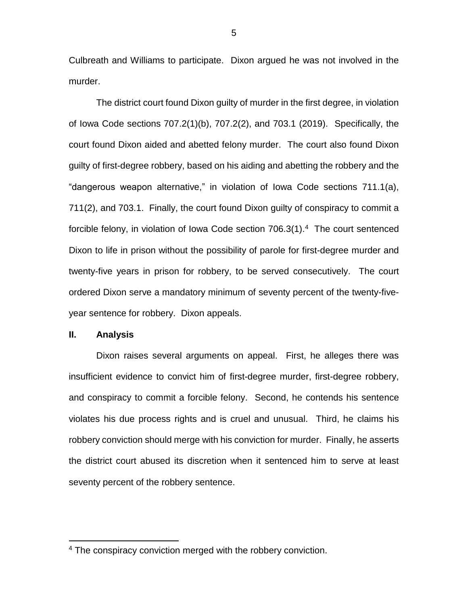Culbreath and Williams to participate. Dixon argued he was not involved in the murder.

The district court found Dixon guilty of murder in the first degree, in violation of Iowa Code sections 707.2(1)(b), 707.2(2), and 703.1 (2019). Specifically, the court found Dixon aided and abetted felony murder. The court also found Dixon guilty of first-degree robbery, based on his aiding and abetting the robbery and the "dangerous weapon alternative," in violation of Iowa Code sections 711.1(a), 711(2), and 703.1. Finally, the court found Dixon guilty of conspiracy to commit a forcible felony, in violation of Iowa Code section  $706.3(1).<sup>4</sup>$  The court sentenced Dixon to life in prison without the possibility of parole for first-degree murder and twenty-five years in prison for robbery, to be served consecutively. The court ordered Dixon serve a mandatory minimum of seventy percent of the twenty-fiveyear sentence for robbery. Dixon appeals.

#### **II. Analysis**

 $\overline{a}$ 

Dixon raises several arguments on appeal. First, he alleges there was insufficient evidence to convict him of first-degree murder, first-degree robbery, and conspiracy to commit a forcible felony. Second, he contends his sentence violates his due process rights and is cruel and unusual. Third, he claims his robbery conviction should merge with his conviction for murder. Finally, he asserts the district court abused its discretion when it sentenced him to serve at least seventy percent of the robbery sentence.

<sup>&</sup>lt;sup>4</sup> The conspiracy conviction merged with the robbery conviction.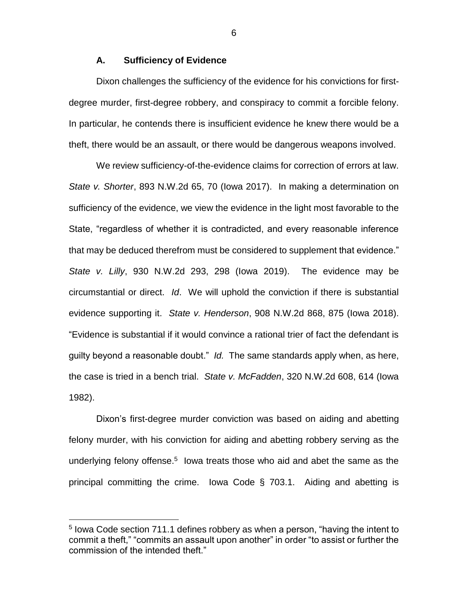# **A. Sufficiency of Evidence**

Dixon challenges the sufficiency of the evidence for his convictions for firstdegree murder, first-degree robbery, and conspiracy to commit a forcible felony. In particular, he contends there is insufficient evidence he knew there would be a theft, there would be an assault, or there would be dangerous weapons involved.

We review sufficiency-of-the-evidence claims for correction of errors at law. *State v. Shorter*, 893 N.W.2d 65, 70 (Iowa 2017). In making a determination on sufficiency of the evidence, we view the evidence in the light most favorable to the State, "regardless of whether it is contradicted, and every reasonable inference that may be deduced therefrom must be considered to supplement that evidence." *State v. Lilly*, 930 N.W.2d 293, 298 (Iowa 2019). The evidence may be circumstantial or direct. *Id*. We will uphold the conviction if there is substantial evidence supporting it. *State v. Henderson*, 908 N.W.2d 868, 875 (Iowa 2018). "Evidence is substantial if it would convince a rational trier of fact the defendant is guilty beyond a reasonable doubt." *Id.* The same standards apply when, as here, the case is tried in a bench trial. *State v. McFadden*, 320 N.W.2d 608, 614 (Iowa 1982).

Dixon's first-degree murder conviction was based on aiding and abetting felony murder, with his conviction for aiding and abetting robbery serving as the underlying felony offense.<sup>5</sup> lowa treats those who aid and abet the same as the principal committing the crime. Iowa Code § 703.1. Aiding and abetting is

 $\overline{a}$ 

<sup>&</sup>lt;sup>5</sup> lowa Code section 711.1 defines robbery as when a person, "having the intent to commit a theft," "commits an assault upon another" in order "to assist or further the commission of the intended theft."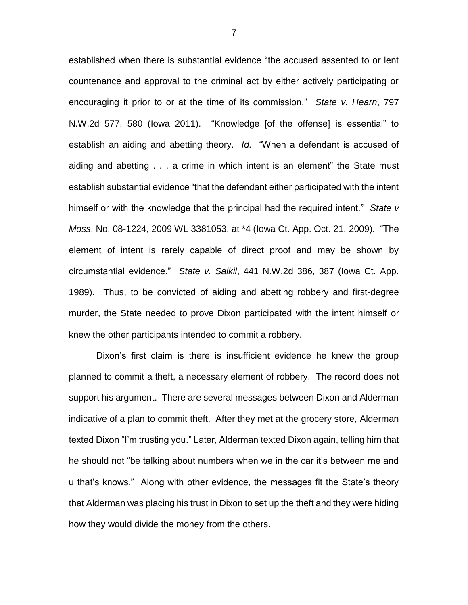established when there is substantial evidence "the accused assented to or lent countenance and approval to the criminal act by either actively participating or encouraging it prior to or at the time of its commission." *State v. Hearn*, 797 N.W.2d 577, 580 (Iowa 2011). "Knowledge [of the offense] is essential" to establish an aiding and abetting theory. *Id.* "When a defendant is accused of aiding and abetting . . . a crime in which intent is an element" the State must establish substantial evidence "that the defendant either participated with the intent himself or with the knowledge that the principal had the required intent." *State v Moss*, No. 08-1224, 2009 WL 3381053, at \*4 (Iowa Ct. App. Oct. 21, 2009). "The element of intent is rarely capable of direct proof and may be shown by circumstantial evidence." *State v. Salkil*, 441 N.W.2d 386, 387 (Iowa Ct. App. 1989). Thus, to be convicted of aiding and abetting robbery and first-degree murder, the State needed to prove Dixon participated with the intent himself or knew the other participants intended to commit a robbery.

Dixon's first claim is there is insufficient evidence he knew the group planned to commit a theft, a necessary element of robbery. The record does not support his argument. There are several messages between Dixon and Alderman indicative of a plan to commit theft. After they met at the grocery store, Alderman texted Dixon "I'm trusting you." Later, Alderman texted Dixon again, telling him that he should not "be talking about numbers when we in the car it's between me and u that's knows." Along with other evidence, the messages fit the State's theory that Alderman was placing his trust in Dixon to set up the theft and they were hiding how they would divide the money from the others.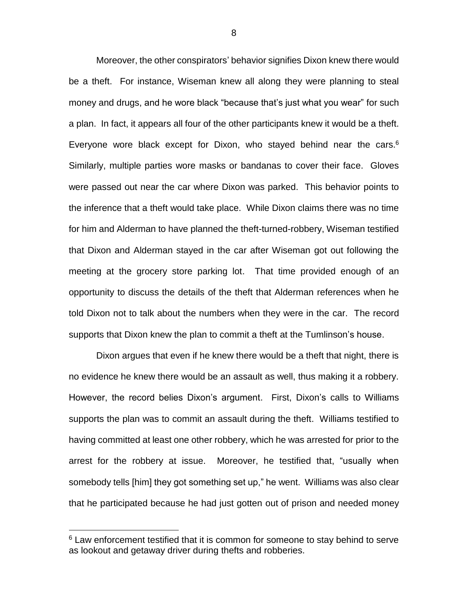Moreover, the other conspirators' behavior signifies Dixon knew there would be a theft. For instance, Wiseman knew all along they were planning to steal money and drugs, and he wore black "because that's just what you wear" for such a plan. In fact, it appears all four of the other participants knew it would be a theft. Everyone wore black except for Dixon, who stayed behind near the cars.<sup>6</sup> Similarly, multiple parties wore masks or bandanas to cover their face. Gloves were passed out near the car where Dixon was parked. This behavior points to the inference that a theft would take place. While Dixon claims there was no time for him and Alderman to have planned the theft-turned-robbery, Wiseman testified that Dixon and Alderman stayed in the car after Wiseman got out following the meeting at the grocery store parking lot. That time provided enough of an opportunity to discuss the details of the theft that Alderman references when he told Dixon not to talk about the numbers when they were in the car. The record supports that Dixon knew the plan to commit a theft at the Tumlinson's house.

Dixon argues that even if he knew there would be a theft that night, there is no evidence he knew there would be an assault as well, thus making it a robbery. However, the record belies Dixon's argument. First, Dixon's calls to Williams supports the plan was to commit an assault during the theft. Williams testified to having committed at least one other robbery, which he was arrested for prior to the arrest for the robbery at issue. Moreover, he testified that, "usually when somebody tells [him] they got something set up," he went. Williams was also clear that he participated because he had just gotten out of prison and needed money

 $6$  Law enforcement testified that it is common for someone to stay behind to serve as lookout and getaway driver during thefts and robberies.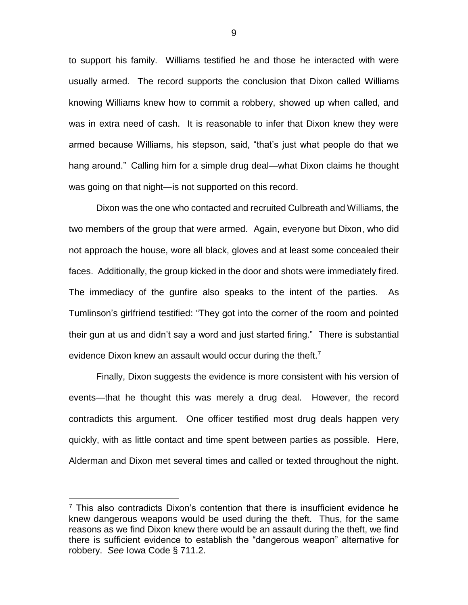to support his family. Williams testified he and those he interacted with were usually armed. The record supports the conclusion that Dixon called Williams knowing Williams knew how to commit a robbery, showed up when called, and was in extra need of cash. It is reasonable to infer that Dixon knew they were armed because Williams, his stepson, said, "that's just what people do that we hang around." Calling him for a simple drug deal—what Dixon claims he thought was going on that night—is not supported on this record.

Dixon was the one who contacted and recruited Culbreath and Williams, the two members of the group that were armed. Again, everyone but Dixon, who did not approach the house, wore all black, gloves and at least some concealed their faces. Additionally, the group kicked in the door and shots were immediately fired. The immediacy of the gunfire also speaks to the intent of the parties. As Tumlinson's girlfriend testified: "They got into the corner of the room and pointed their gun at us and didn't say a word and just started firing." There is substantial evidence Dixon knew an assault would occur during the theft.<sup>7</sup>

Finally, Dixon suggests the evidence is more consistent with his version of events—that he thought this was merely a drug deal. However, the record contradicts this argument. One officer testified most drug deals happen very quickly, with as little contact and time spent between parties as possible. Here, Alderman and Dixon met several times and called or texted throughout the night.

 $7$  This also contradicts Dixon's contention that there is insufficient evidence he knew dangerous weapons would be used during the theft. Thus, for the same reasons as we find Dixon knew there would be an assault during the theft, we find there is sufficient evidence to establish the "dangerous weapon" alternative for robbery. *See* Iowa Code § 711.2.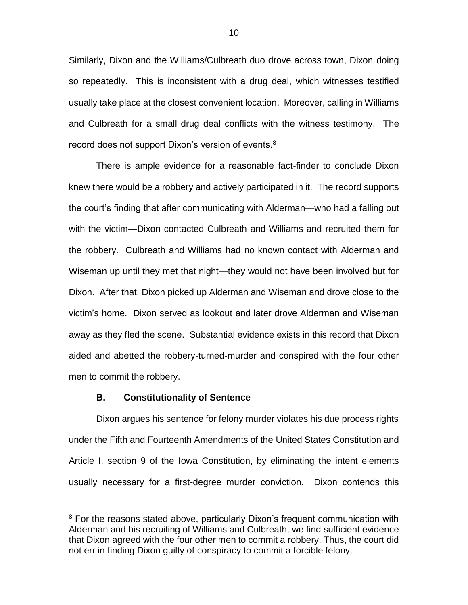Similarly, Dixon and the Williams/Culbreath duo drove across town, Dixon doing so repeatedly. This is inconsistent with a drug deal, which witnesses testified usually take place at the closest convenient location. Moreover, calling in Williams and Culbreath for a small drug deal conflicts with the witness testimony. The record does not support Dixon's version of events.<sup>8</sup>

There is ample evidence for a reasonable fact-finder to conclude Dixon knew there would be a robbery and actively participated in it. The record supports the court's finding that after communicating with Alderman—who had a falling out with the victim—Dixon contacted Culbreath and Williams and recruited them for the robbery. Culbreath and Williams had no known contact with Alderman and Wiseman up until they met that night—they would not have been involved but for Dixon. After that, Dixon picked up Alderman and Wiseman and drove close to the victim's home. Dixon served as lookout and later drove Alderman and Wiseman away as they fled the scene. Substantial evidence exists in this record that Dixon aided and abetted the robbery-turned-murder and conspired with the four other men to commit the robbery.

#### **B. Constitutionality of Sentence**

 $\overline{a}$ 

Dixon argues his sentence for felony murder violates his due process rights under the Fifth and Fourteenth Amendments of the United States Constitution and Article I, section 9 of the Iowa Constitution, by eliminating the intent elements usually necessary for a first-degree murder conviction. Dixon contends this

<sup>&</sup>lt;sup>8</sup> For the reasons stated above, particularly Dixon's frequent communication with Alderman and his recruiting of Williams and Culbreath, we find sufficient evidence that Dixon agreed with the four other men to commit a robbery. Thus, the court did not err in finding Dixon guilty of conspiracy to commit a forcible felony.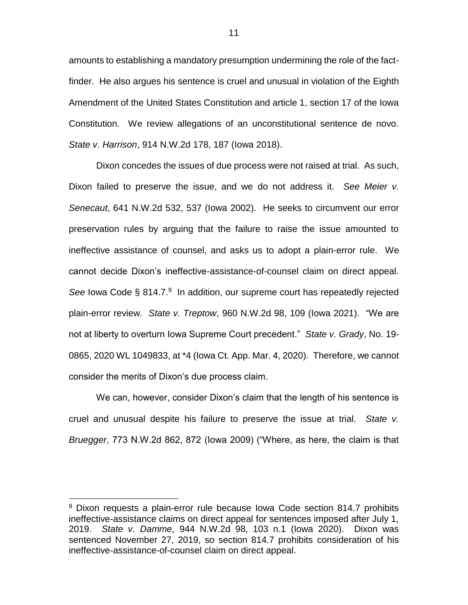amounts to establishing a mandatory presumption undermining the role of the factfinder. He also argues his sentence is cruel and unusual in violation of the Eighth Amendment of the United States Constitution and article 1, section 17 of the Iowa Constitution. We review allegations of an unconstitutional sentence de novo. *State v. Harrison*, 914 N.W.2d 178, 187 (Iowa 2018).

Dixon concedes the issues of due process were not raised at trial. As such, Dixon failed to preserve the issue, and we do not address it. *See Meier v. Senecaut*, 641 N.W.2d 532, 537 (Iowa 2002). He seeks to circumvent our error preservation rules by arguing that the failure to raise the issue amounted to ineffective assistance of counsel, and asks us to adopt a plain-error rule. We cannot decide Dixon's ineffective-assistance-of-counsel claim on direct appeal. See Iowa Code § 814.7.<sup>9</sup> In addition, our supreme court has repeatedly rejected plain-error review. *State v. Treptow*, 960 N.W.2d 98, 109 (Iowa 2021). "We are not at liberty to overturn Iowa Supreme Court precedent." *State v. Grady*, No. 19- 0865, 2020 WL 1049833, at \*4 (Iowa Ct. App. Mar. 4, 2020). Therefore, we cannot consider the merits of Dixon's due process claim.

We can, however, consider Dixon's claim that the length of his sentence is cruel and unusual despite his failure to preserve the issue at trial. *State v. Bruegger*, 773 N.W.2d 862, 872 (Iowa 2009) ("Where, as here, the claim is that

<sup>&</sup>lt;sup>9</sup> Dixon requests a plain-error rule because Iowa Code section 814.7 prohibits ineffective-assistance claims on direct appeal for sentences imposed after July 1, 2019. *State v. Damme*, 944 N.W.2d 98, 103 n.1 (Iowa 2020). Dixon was sentenced November 27, 2019, so section 814.7 prohibits consideration of his ineffective-assistance-of-counsel claim on direct appeal.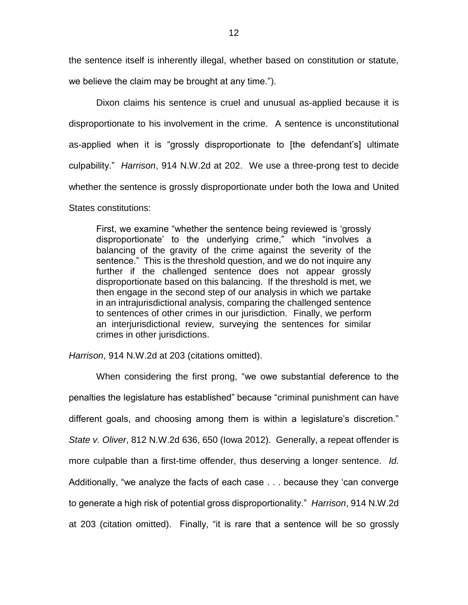the sentence itself is inherently illegal, whether based on constitution or statute,

we believe the claim may be brought at any time.").

Dixon claims his sentence is cruel and unusual as-applied because it is disproportionate to his involvement in the crime. A sentence is unconstitutional as-applied when it is "grossly disproportionate to [the defendant's] ultimate culpability." *Harrison*, 914 N.W.2d at 202. We use a three-prong test to decide whether the sentence is grossly disproportionate under both the Iowa and United States constitutions:

First, we examine "whether the sentence being reviewed is 'grossly disproportionate' to the underlying crime," which "involves a balancing of the gravity of the crime against the severity of the sentence." This is the threshold question, and we do not inquire any further if the challenged sentence does not appear grossly disproportionate based on this balancing. If the threshold is met, we then engage in the second step of our analysis in which we partake in an intrajurisdictional analysis, comparing the challenged sentence to sentences of other crimes in our jurisdiction. Finally, we perform an interjurisdictional review, surveying the sentences for similar crimes in other jurisdictions.

*Harrison*, 914 N.W.2d at 203 (citations omitted).

When considering the first prong, "we owe substantial deference to the penalties the legislature has established" because "criminal punishment can have different goals, and choosing among them is within a legislature's discretion." *State v. Oliver*, 812 N.W.2d 636, 650 (Iowa 2012). Generally, a repeat offender is more culpable than a first-time offender, thus deserving a longer sentence. *Id.*  Additionally, "we analyze the facts of each case . . . because they 'can converge to generate a high risk of potential gross disproportionality." *Harrison*, 914 N.W.2d at 203 (citation omitted). Finally, "it is rare that a sentence will be so grossly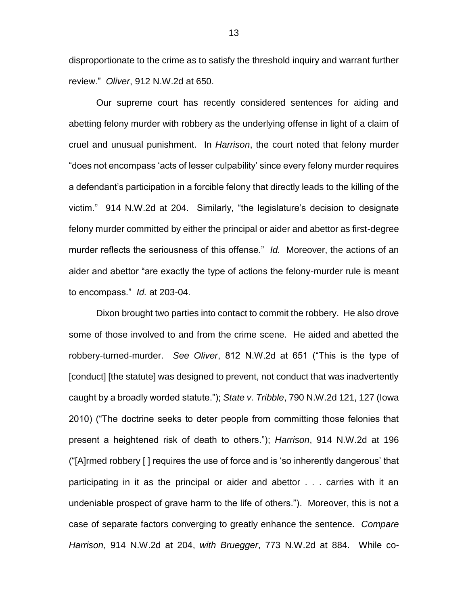disproportionate to the crime as to satisfy the threshold inquiry and warrant further review." *Oliver*, 912 N.W.2d at 650.

Our supreme court has recently considered sentences for aiding and abetting felony murder with robbery as the underlying offense in light of a claim of cruel and unusual punishment. In *Harrison*, the court noted that felony murder "does not encompass 'acts of lesser culpability' since every felony murder requires a defendant's participation in a forcible felony that directly leads to the killing of the victim." 914 N.W.2d at 204. Similarly, "the legislature's decision to designate felony murder committed by either the principal or aider and abettor as first-degree murder reflects the seriousness of this offense." *Id.* Moreover, the actions of an aider and abettor "are exactly the type of actions the felony-murder rule is meant to encompass." *Id.* at 203-04.

Dixon brought two parties into contact to commit the robbery. He also drove some of those involved to and from the crime scene. He aided and abetted the robbery-turned-murder. *See Oliver*, 812 N.W.2d at 651 ("This is the type of [conduct] [the statute] was designed to prevent, not conduct that was inadvertently caught by a broadly worded statute."); *State v. Tribble*, 790 N.W.2d 121, 127 (Iowa 2010) ("The doctrine seeks to deter people from committing those felonies that present a heightened risk of death to others."); *Harrison*, 914 N.W.2d at 196 ("[A]rmed robbery [ ] requires the use of force and is 'so inherently dangerous' that participating in it as the principal or aider and abettor . . . carries with it an undeniable prospect of grave harm to the life of others."). Moreover, this is not a case of separate factors converging to greatly enhance the sentence. *Compare Harrison*, 914 N.W.2d at 204, *with Bruegger*, 773 N.W.2d at 884. While co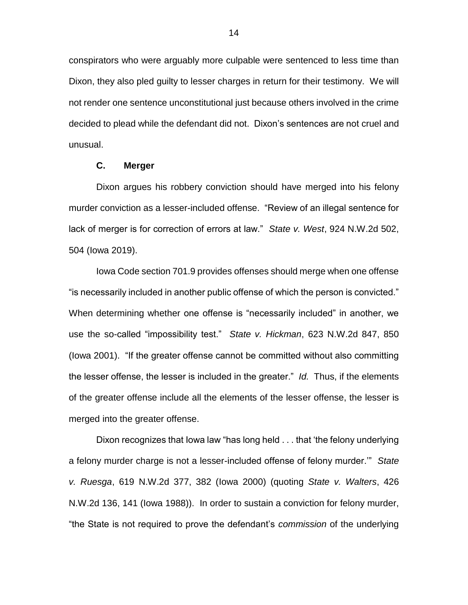conspirators who were arguably more culpable were sentenced to less time than Dixon, they also pled guilty to lesser charges in return for their testimony. We will not render one sentence unconstitutional just because others involved in the crime decided to plead while the defendant did not. Dixon's sentences are not cruel and unusual.

# **C. Merger**

Dixon argues his robbery conviction should have merged into his felony murder conviction as a lesser-included offense. "Review of an illegal sentence for lack of merger is for correction of errors at law." *State v. West*, 924 N.W.2d 502, 504 (Iowa 2019).

Iowa Code section 701.9 provides offenses should merge when one offense "is necessarily included in another public offense of which the person is convicted." When determining whether one offense is "necessarily included" in another, we use the so-called "impossibility test." *State v. Hickman*, 623 N.W.2d 847, 850 (Iowa 2001). "If the greater offense cannot be committed without also committing the lesser offense, the lesser is included in the greater." *Id.* Thus, if the elements of the greater offense include all the elements of the lesser offense, the lesser is merged into the greater offense.

Dixon recognizes that Iowa law "has long held . . . that 'the felony underlying a felony murder charge is not a lesser-included offense of felony murder.'" *State v. Ruesga*, 619 N.W.2d 377, 382 (Iowa 2000) (quoting *State v. Walters*, 426 N.W.2d 136, 141 (Iowa 1988)). In order to sustain a conviction for felony murder, "the State is not required to prove the defendant's *commission* of the underlying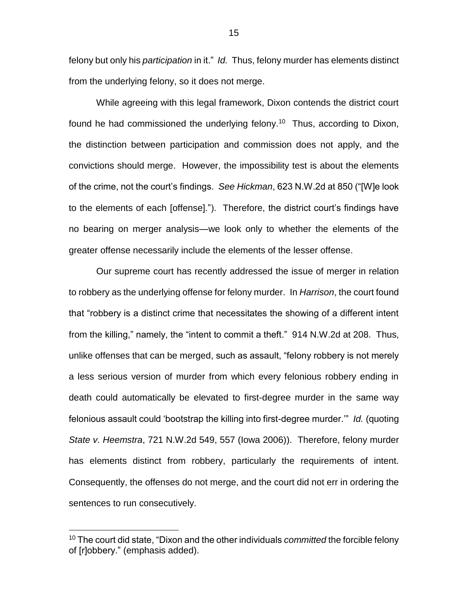felony but only his *participation* in it." *Id.* Thus, felony murder has elements distinct from the underlying felony, so it does not merge.

While agreeing with this legal framework, Dixon contends the district court found he had commissioned the underlying felony.<sup>10</sup> Thus, according to Dixon, the distinction between participation and commission does not apply, and the convictions should merge. However, the impossibility test is about the elements of the crime, not the court's findings. *See Hickman*, 623 N.W.2d at 850 ("[W]e look to the elements of each [offense]."). Therefore, the district court's findings have no bearing on merger analysis—we look only to whether the elements of the greater offense necessarily include the elements of the lesser offense.

Our supreme court has recently addressed the issue of merger in relation to robbery as the underlying offense for felony murder. In *Harrison*, the court found that "robbery is a distinct crime that necessitates the showing of a different intent from the killing," namely, the "intent to commit a theft." 914 N.W.2d at 208. Thus, unlike offenses that can be merged, such as assault, "felony robbery is not merely a less serious version of murder from which every felonious robbery ending in death could automatically be elevated to first-degree murder in the same way felonious assault could 'bootstrap the killing into first-degree murder.'" *Id.* (quoting *State v. Heemstra*, 721 N.W.2d 549, 557 (Iowa 2006)). Therefore, felony murder has elements distinct from robbery, particularly the requirements of intent. Consequently, the offenses do not merge, and the court did not err in ordering the sentences to run consecutively.

<sup>10</sup> The court did state, "Dixon and the other individuals *committed* the forcible felony of [r]obbery." (emphasis added).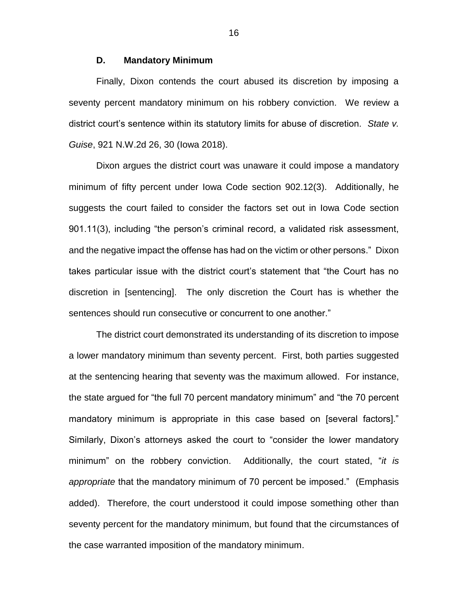## **D. Mandatory Minimum**

Finally, Dixon contends the court abused its discretion by imposing a seventy percent mandatory minimum on his robbery conviction. We review a district court's sentence within its statutory limits for abuse of discretion. *State v. Guise*, 921 N.W.2d 26, 30 (Iowa 2018).

Dixon argues the district court was unaware it could impose a mandatory minimum of fifty percent under Iowa Code section 902.12(3). Additionally, he suggests the court failed to consider the factors set out in Iowa Code section 901.11(3), including "the person's criminal record, a validated risk assessment, and the negative impact the offense has had on the victim or other persons." Dixon takes particular issue with the district court's statement that "the Court has no discretion in [sentencing]. The only discretion the Court has is whether the sentences should run consecutive or concurrent to one another."

The district court demonstrated its understanding of its discretion to impose a lower mandatory minimum than seventy percent. First, both parties suggested at the sentencing hearing that seventy was the maximum allowed. For instance, the state argued for "the full 70 percent mandatory minimum" and "the 70 percent mandatory minimum is appropriate in this case based on [several factors]." Similarly, Dixon's attorneys asked the court to "consider the lower mandatory minimum" on the robbery conviction. Additionally, the court stated, "*it is appropriate* that the mandatory minimum of 70 percent be imposed." (Emphasis added). Therefore, the court understood it could impose something other than seventy percent for the mandatory minimum, but found that the circumstances of the case warranted imposition of the mandatory minimum.